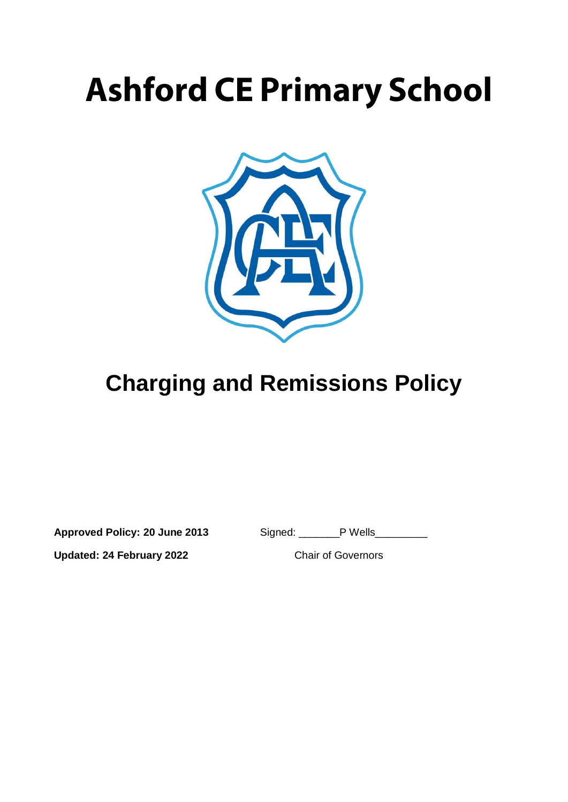# **Ashford CE Primary School**



## **Charging and Remissions Policy**

**Approved Policy: 20 June 2013** Signed: \_\_\_\_\_\_\_P Wells\_\_\_\_\_\_\_\_\_

**Updated: 24 February 2022** Chair of Governors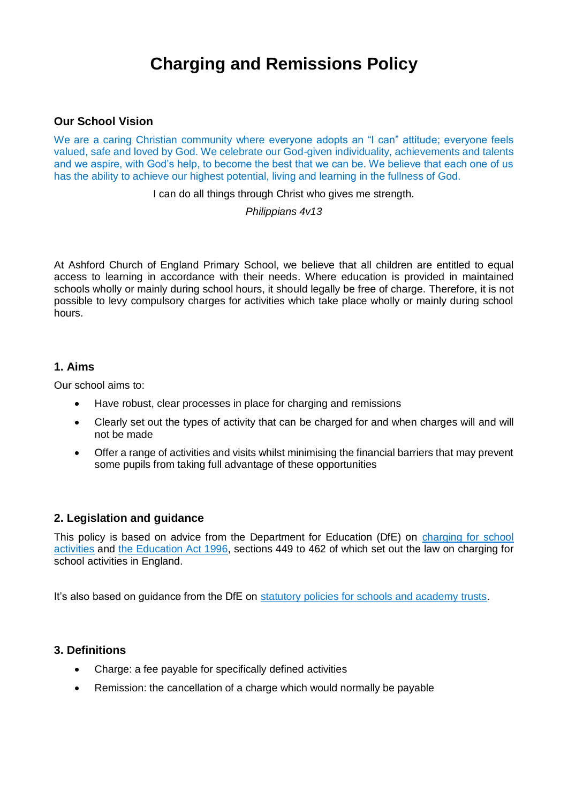### **Charging and Remissions Policy**

#### **Our School Vision**

We are a caring Christian community where everyone adopts an "I can" attitude; everyone feels valued, safe and loved by God. We celebrate our God-given individuality, achievements and talents and we aspire, with God's help, to become the best that we can be. We believe that each one of us has the ability to achieve our highest potential, living and learning in the fullness of God.

I can do all things through Christ who gives me strength.

#### *Philippians 4v13*

At Ashford Church of England Primary School, we believe that all children are entitled to equal access to learning in accordance with their needs. Where education is provided in maintained schools wholly or mainly during school hours, it should legally be free of charge. Therefore, it is not possible to levy compulsory charges for activities which take place wholly or mainly during school hours.

#### **1. Aims**

Our school aims to:

- Have robust, clear processes in place for charging and remissions
- Clearly set out the types of activity that can be charged for and when charges will and will not be made
- Offer a range of activities and visits whilst minimising the financial barriers that may prevent some pupils from taking full advantage of these opportunities

#### **2. Legislation and guidance**

This policy is based on advice from the Department for Education (DfE) on charging for school [activities](https://www.gov.uk/government/publications/charging-for-school-activities) and [the Education Act 1996,](http://www.legislation.gov.uk/ukpga/1996/56/part/VI/chapter/III) sections 449 to 462 of which set out the law on charging for school activities in England.

It's also based on guidance from the DfE on [statutory policies for schools and academy trusts.](https://www.gov.uk/government/publications/statutory-policies-for-schools-and-academy-trusts/statutory-policies-for-schools-and-academy-trusts)

#### **3. Definitions**

- Charge: a fee payable for specifically defined activities
- Remission: the cancellation of a charge which would normally be payable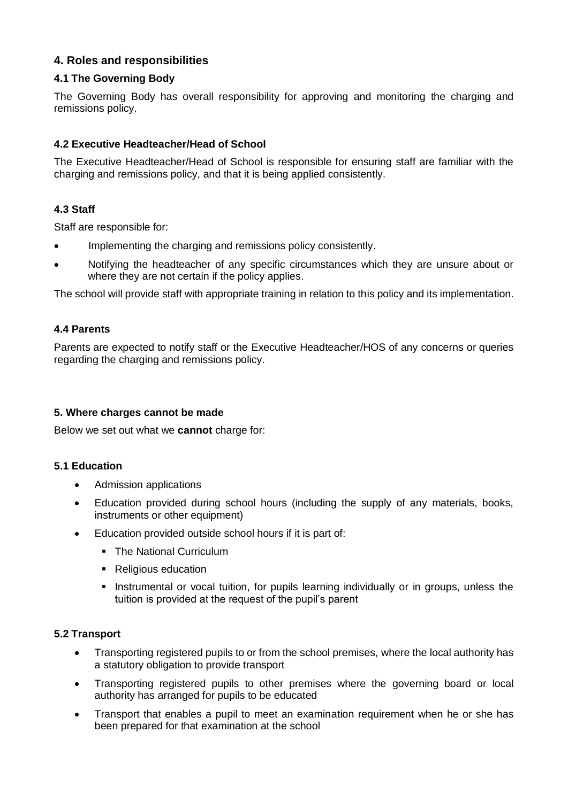#### **4. Roles and responsibilities**

#### **4.1 The Governing Body**

The Governing Body has overall responsibility for approving and monitoring the charging and remissions policy.

#### **4.2 Executive Headteacher/Head of School**

The Executive Headteacher/Head of School is responsible for ensuring staff are familiar with the charging and remissions policy, and that it is being applied consistently.

#### **4.3 Staff**

Staff are responsible for:

- Implementing the charging and remissions policy consistently.
- Notifying the headteacher of any specific circumstances which they are unsure about or where they are not certain if the policy applies.

The school will provide staff with appropriate training in relation to this policy and its implementation.

#### **4.4 Parents**

Parents are expected to notify staff or the Executive Headteacher/HOS of any concerns or queries regarding the charging and remissions policy.

#### **5. Where charges cannot be made**

Below we set out what we **cannot** charge for:

#### **5.1 Education**

- Admission applications
- Education provided during school hours (including the supply of any materials, books, instruments or other equipment)
- Education provided outside school hours if it is part of:
	- **The National Curriculum**
	- Religious education
	- **Instrumental or vocal tuition, for pupils learning individually or in groups, unless the** tuition is provided at the request of the pupil's parent

#### **5.2 Transport**

- Transporting registered pupils to or from the school premises, where the local authority has a statutory obligation to provide transport
- Transporting registered pupils to other premises where the governing board or local authority has arranged for pupils to be educated
- Transport that enables a pupil to meet an examination requirement when he or she has been prepared for that examination at the school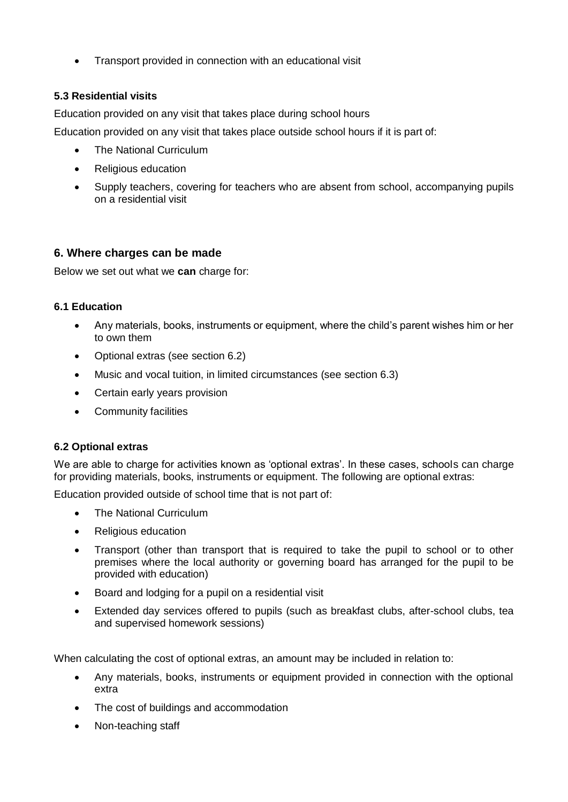Transport provided in connection with an educational visit

#### **5.3 Residential visits**

Education provided on any visit that takes place during school hours

Education provided on any visit that takes place outside school hours if it is part of:

- The National Curriculum
- Religious education
- Supply teachers, covering for teachers who are absent from school, accompanying pupils on a residential visit

#### **6. Where charges can be made**

Below we set out what we **can** charge for:

#### **6.1 Education**

- Any materials, books, instruments or equipment, where the child's parent wishes him or her to own them
- Optional extras (see section 6.2)
- Music and vocal tuition, in limited circumstances (see section 6.3)
- Certain early years provision
- Community facilities

#### **6.2 Optional extras**

We are able to charge for activities known as 'optional extras'. In these cases, schools can charge for providing materials, books, instruments or equipment. The following are optional extras:

Education provided outside of school time that is not part of:

- The National Curriculum
- Religious education
- Transport (other than transport that is required to take the pupil to school or to other premises where the local authority or governing board has arranged for the pupil to be provided with education)
- Board and lodging for a pupil on a residential visit
- Extended day services offered to pupils (such as breakfast clubs, after-school clubs, tea and supervised homework sessions)

When calculating the cost of optional extras, an amount may be included in relation to:

- Any materials, books, instruments or equipment provided in connection with the optional extra
- The cost of buildings and accommodation
- Non-teaching staff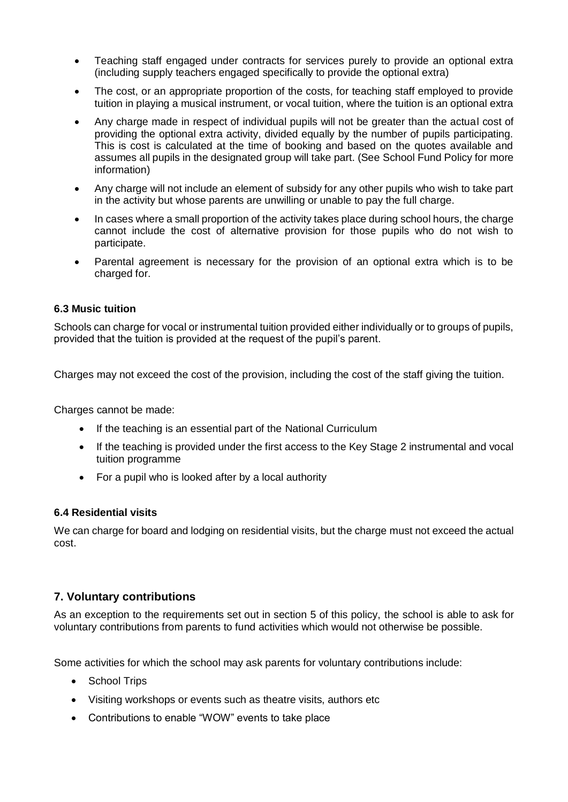- Teaching staff engaged under contracts for services purely to provide an optional extra (including supply teachers engaged specifically to provide the optional extra)
- The cost, or an appropriate proportion of the costs, for teaching staff employed to provide tuition in playing a musical instrument, or vocal tuition, where the tuition is an optional extra
- Any charge made in respect of individual pupils will not be greater than the actual cost of providing the optional extra activity, divided equally by the number of pupils participating. This is cost is calculated at the time of booking and based on the quotes available and assumes all pupils in the designated group will take part. (See School Fund Policy for more information)
- Any charge will not include an element of subsidy for any other pupils who wish to take part in the activity but whose parents are unwilling or unable to pay the full charge.
- In cases where a small proportion of the activity takes place during school hours, the charge cannot include the cost of alternative provision for those pupils who do not wish to participate.
- Parental agreement is necessary for the provision of an optional extra which is to be charged for.

#### **6.3 Music tuition**

Schools can charge for vocal or instrumental tuition provided either individually or to groups of pupils, provided that the tuition is provided at the request of the pupil's parent.

Charges may not exceed the cost of the provision, including the cost of the staff giving the tuition.

Charges cannot be made:

- If the teaching is an essential part of the National Curriculum
- If the teaching is provided under the first access to the Key Stage 2 instrumental and vocal tuition programme
- For a pupil who is looked after by a local authority

#### **6.4 Residential visits**

We can charge for board and lodging on residential visits, but the charge must not exceed the actual cost.

#### **7. Voluntary contributions**

As an exception to the requirements set out in section 5 of this policy, the school is able to ask for voluntary contributions from parents to fund activities which would not otherwise be possible.

Some activities for which the school may ask parents for voluntary contributions include:

- School Trips
- Visiting workshops or events such as theatre visits, authors etc
- Contributions to enable "WOW" events to take place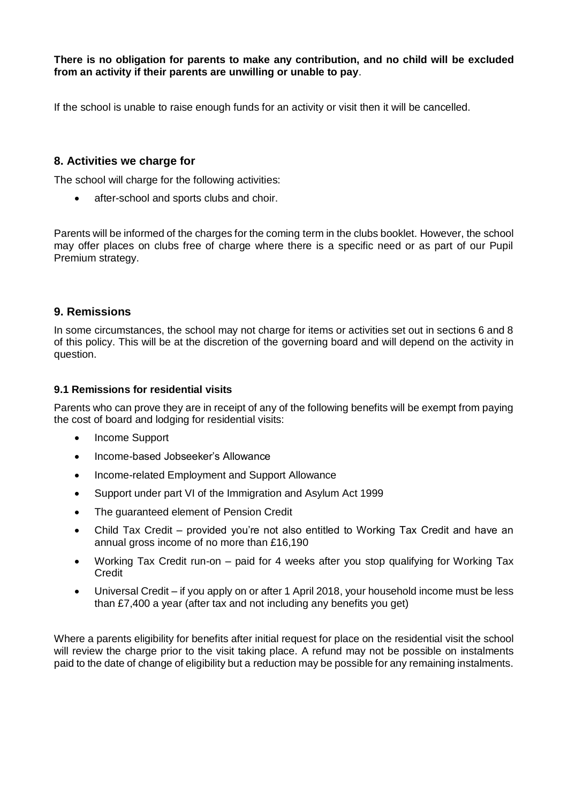**There is no obligation for parents to make any contribution, and no child will be excluded from an activity if their parents are unwilling or unable to pay**.

If the school is unable to raise enough funds for an activity or visit then it will be cancelled.

#### **8. Activities we charge for**

The school will charge for the following activities:

• after-school and sports clubs and choir.

Parents will be informed of the charges for the coming term in the clubs booklet. However, the school may offer places on clubs free of charge where there is a specific need or as part of our Pupil Premium strategy.

#### **9. Remissions**

In some circumstances, the school may not charge for items or activities set out in sections 6 and 8 of this policy. This will be at the discretion of the governing board and will depend on the activity in question.

#### **9.1 Remissions for residential visits**

Parents who can prove they are in receipt of any of the following benefits will be exempt from paying the cost of board and lodging for residential visits:

- Income Support
- Income-based Jobseeker's Allowance
- Income-related Employment and Support Allowance
- Support under part VI of the Immigration and Asylum Act 1999
- The guaranteed element of Pension Credit
- Child Tax Credit provided you're not also entitled to Working Tax Credit and have an annual gross income of no more than £16,190
- Working Tax Credit run-on paid for 4 weeks after you stop qualifying for Working Tax Credit
- Universal Credit if you apply on or after 1 April 2018, your household income must be less than £7,400 a year (after tax and not including any benefits you get)

Where a parents eligibility for benefits after initial request for place on the residential visit the school will review the charge prior to the visit taking place. A refund may not be possible on instalments paid to the date of change of eligibility but a reduction may be possible for any remaining instalments.